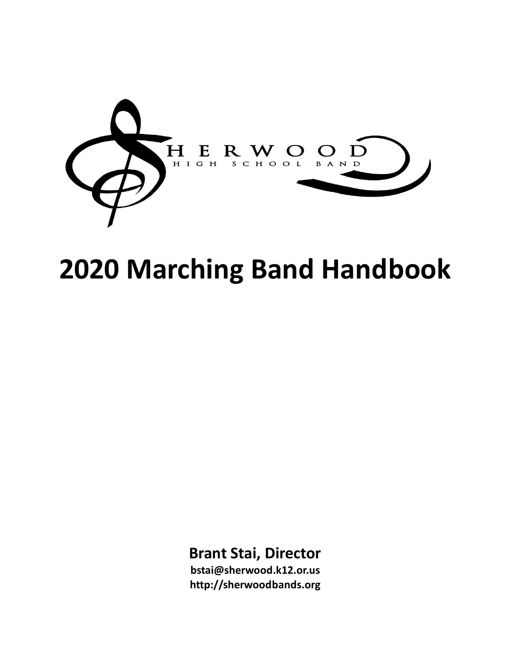

# **2020 Marching Band Handbook**

# **Brant Stai, Director**

**bstai@sherwood.k12.or.us http://sherwoodbands.org**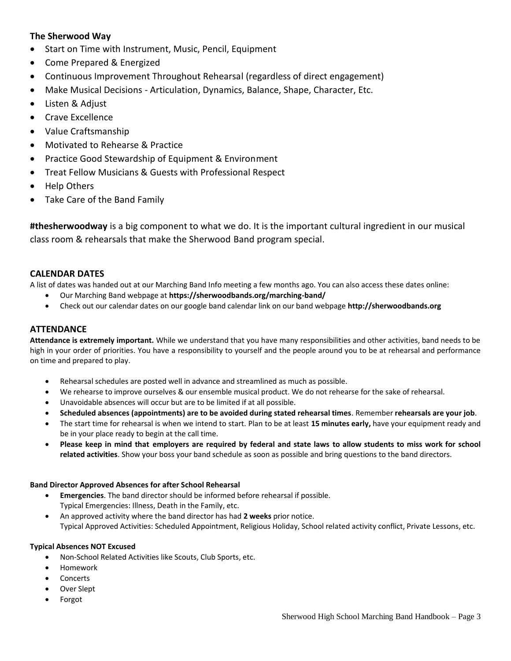# **The Sherwood Way**

- Start on Time with Instrument, Music, Pencil, Equipment
- Come Prepared & Energized
- Continuous Improvement Throughout Rehearsal (regardless of direct engagement)
- Make Musical Decisions Articulation, Dynamics, Balance, Shape, Character, Etc.
- Listen & Adjust
- Crave Excellence
- Value Craftsmanship
- Motivated to Rehearse & Practice
- Practice Good Stewardship of Equipment & Environment
- Treat Fellow Musicians & Guests with Professional Respect
- Help Others
- Take Care of the Band Family

**#thesherwoodway** is a big component to what we do. It is the important cultural ingredient in our musical class room & rehearsals that make the Sherwood Band program special.

# **CALENDAR DATES**

A list of dates was handed out at our Marching Band Info meeting a few months ago. You can also access these dates online:

- Our Marching Band webpage at **https://sherwoodbands.org/marching-band/**
- Check out our calendar dates on our google band calendar link on our band webpage **http://sherwoodbands.org**

# **ATTENDANCE**

**Attendance is extremely important.** While we understand that you have many responsibilities and other activities, band needs to be high in your order of priorities. You have a responsibility to yourself and the people around you to be at rehearsal and performance on time and prepared to play.

- Rehearsal schedules are posted well in advance and streamlined as much as possible.
- We rehearse to improve ourselves & our ensemble musical product. We do not rehearse for the sake of rehearsal.
- Unavoidable absences will occur but are to be limited if at all possible.
- **Scheduled absences (appointments) are to be avoided during stated rehearsal times**. Remember **rehearsals are your job**.
- The start time for rehearsal is when we intend to start. Plan to be at least **15 minutes early,** have your equipment ready and be in your place ready to begin at the call time.
- **Please keep in mind that employers are required by federal and state laws to allow students to miss work for school related activities**. Show your boss your band schedule as soon as possible and bring questions to the band directors.

#### **Band Director Approved Absences for after School Rehearsal**

- **Emergencies**. The band director should be informed before rehearsal if possible. Typical Emergencies: Illness, Death in the Family, etc.
- An approved activity where the band director has had **2 weeks** prior notice. Typical Approved Activities: Scheduled Appointment, Religious Holiday, School related activity conflict, Private Lessons, etc.

#### **Typical Absences NOT Excused**

- Non-School Related Activities like Scouts, Club Sports, etc.
- Homework
- Concerts
- Over Slept
- Forgot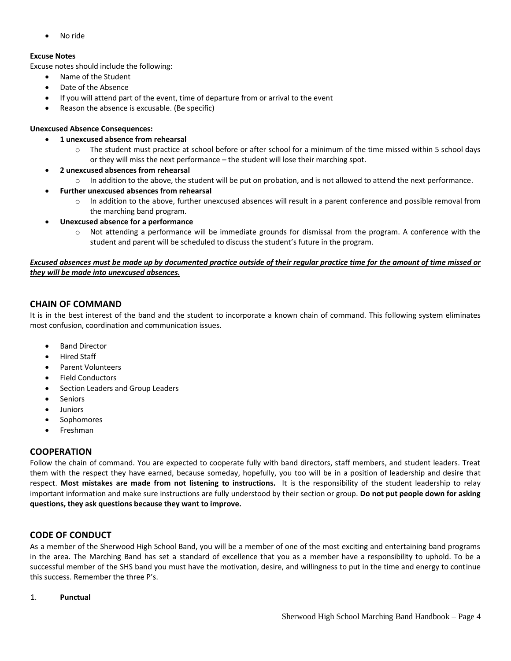No ride

# **Excuse Notes**

Excuse notes should include the following:

- Name of the Student
- Date of the Absence
- If you will attend part of the event, time of departure from or arrival to the event
- Reason the absence is excusable. (Be specific)

# **Unexcused Absence Consequences:**

- **1 unexcused absence from rehearsal**
	- $\circ$  The student must practice at school before or after school for a minimum of the time missed within 5 school days or they will miss the next performance – the student will lose their marching spot.
- **2 unexcused absences from rehearsal**
	- $\circ$  In addition to the above, the student will be put on probation, and is not allowed to attend the next performance.
- **Further unexcused absences from rehearsal** 
	- o In addition to the above, further unexcused absences will result in a parent conference and possible removal from the marching band program.
- **Unexcused absence for a performance** 
	- o Not attending a performance will be immediate grounds for dismissal from the program. A conference with the student and parent will be scheduled to discuss the student's future in the program.

#### *Excused absences must be made up by documented practice outside of their regular practice time for the amount of time missed or they will be made into unexcused absences.*

# **CHAIN OF COMMAND**

It is in the best interest of the band and the student to incorporate a known chain of command. This following system eliminates most confusion, coordination and communication issues.

- Band Director
- Hired Staff
- Parent Volunteers
- Field Conductors
- Section Leaders and Group Leaders
- Seniors
- Juniors
- Sophomores
- Freshman

# **COOPERATION**

Follow the chain of command. You are expected to cooperate fully with band directors, staff members, and student leaders. Treat them with the respect they have earned, because someday, hopefully, you too will be in a position of leadership and desire that respect. **Most mistakes are made from not listening to instructions.** It is the responsibility of the student leadership to relay important information and make sure instructions are fully understood by their section or group. **Do not put people down for asking questions, they ask questions because they want to improve.**

# **CODE OF CONDUCT**

As a member of the Sherwood High School Band, you will be a member of one of the most exciting and entertaining band programs in the area. The Marching Band has set a standard of excellence that you as a member have a responsibility to uphold. To be a successful member of the SHS band you must have the motivation, desire, and willingness to put in the time and energy to continue this success. Remember the three P's.

1. **Punctual**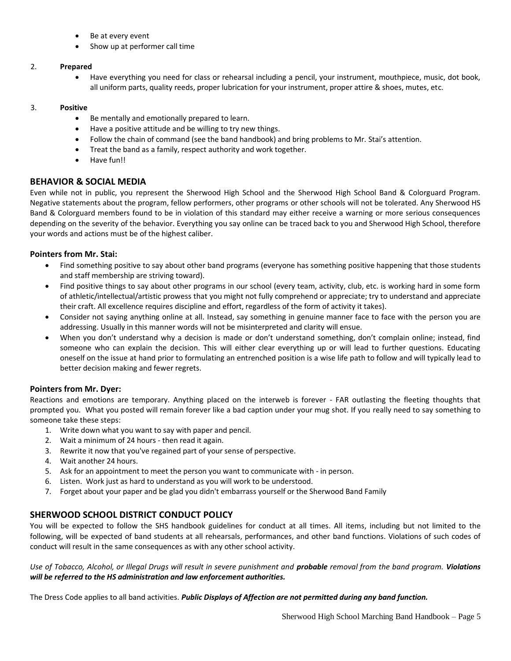- Be at every event
- Show up at performer call time

#### 2. **Prepared**

 Have everything you need for class or rehearsal including a pencil, your instrument, mouthpiece, music, dot book, all uniform parts, quality reeds, proper lubrication for your instrument, proper attire & shoes, mutes, etc.

#### 3. **Positive**

- Be mentally and emotionally prepared to learn.
- Have a positive attitude and be willing to try new things.
- Follow the chain of command (see the band handbook) and bring problems to Mr. Stai's attention.
- Treat the band as a family, respect authority and work together.
- Have fun!!

#### **BEHAVIOR & SOCIAL MEDIA**

Even while not in public, you represent the Sherwood High School and the Sherwood High School Band & Colorguard Program. Negative statements about the program, fellow performers, other programs or other schools will not be tolerated. Any Sherwood HS Band & Colorguard members found to be in violation of this standard may either receive a warning or more serious consequences depending on the severity of the behavior. Everything you say online can be traced back to you and Sherwood High School, therefore your words and actions must be of the highest caliber.

#### **Pointers from Mr. Stai:**

- Find something positive to say about other band programs (everyone has something positive happening that those students and staff membership are striving toward).
- Find positive things to say about other programs in our school (every team, activity, club, etc. is working hard in some form of athletic/intellectual/artistic prowess that you might not fully comprehend or appreciate; try to understand and appreciate their craft. All excellence requires discipline and effort, regardless of the form of activity it takes).
- Consider not saying anything online at all. Instead, say something in genuine manner face to face with the person you are addressing. Usually in this manner words will not be misinterpreted and clarity will ensue.
- When you don't understand why a decision is made or don't understand something, don't complain online; instead, find someone who can explain the decision. This will either clear everything up or will lead to further questions. Educating oneself on the issue at hand prior to formulating an entrenched position is a wise life path to follow and will typically lead to better decision making and fewer regrets.

#### **Pointers from Mr. Dyer:**

Reactions and emotions are temporary. Anything placed on the interweb is forever - FAR outlasting the fleeting thoughts that prompted you. What you posted will remain forever like a bad caption under your mug shot. If you really need to say something to someone take these steps:

- 1. Write down what you want to say with paper and pencil.
- 2. Wait a minimum of 24 hours then read it again.
- 3. Rewrite it now that you've regained part of your sense of perspective.
- 4. Wait another 24 hours.
- 5. Ask for an appointment to meet the person you want to communicate with in person.
- 6. Listen. Work just as hard to understand as you will work to be understood.
- 7. Forget about your paper and be glad you didn't embarrass yourself or the Sherwood Band Family

#### **SHERWOOD SCHOOL DISTRICT CONDUCT POLICY**

You will be expected to follow the SHS handbook guidelines for conduct at all times. All items, including but not limited to the following, will be expected of band students at all rehearsals, performances, and other band functions. Violations of such codes of conduct will result in the same consequences as with any other school activity.

*Use of Tobacco, Alcohol, or Illegal Drugs will result in severe punishment and probable removal from the band program. Violations will be referred to the HS administration and law enforcement authorities.*

The Dress Code applies to all band activities. *Public Displays of Affection are not permitted during any band function.*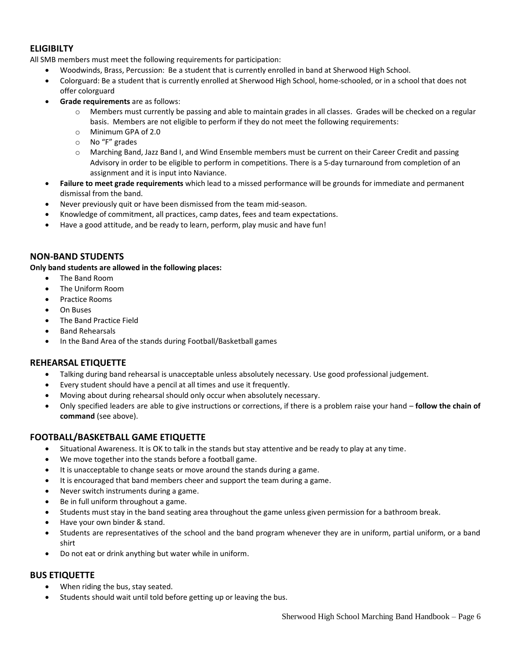# **ELIGIBILTY**

All SMB members must meet the following requirements for participation:

- Woodwinds, Brass, Percussion: Be a student that is currently enrolled in band at Sherwood High School.
- Colorguard: Be a student that is currently enrolled at Sherwood High School, home-schooled, or in a school that does not offer colorguard
- **Grade requirements** are as follows:
	- Members must currently be passing and able to maintain grades in all classes. Grades will be checked on a regular basis. Members are not eligible to perform if they do not meet the following requirements:
	- o Minimum GPA of 2.0
	- o No "F" grades
	- o Marching Band, Jazz Band I, and Wind Ensemble members must be current on their Career Credit and passing Advisory in order to be eligible to perform in competitions. There is a 5-day turnaround from completion of an assignment and it is input into Naviance.
- **Failure to meet grade requirements** which lead to a missed performance will be grounds for immediate and permanent dismissal from the band.
- Never previously quit or have been dismissed from the team mid-season.
- Knowledge of commitment, all practices, camp dates, fees and team expectations.
- Have a good attitude, and be ready to learn, perform, play music and have fun!

# **NON-BAND STUDENTS**

**Only band students are allowed in the following places:**

- The Band Room
- The Uniform Room
- Practice Rooms
- On Buses
- The Band Practice Field
- Band Rehearsals
- In the Band Area of the stands during Football/Basketball games

# **REHEARSAL ETIQUETTE**

- Talking during band rehearsal is unacceptable unless absolutely necessary. Use good professional judgement.
- Every student should have a pencil at all times and use it frequently.
- Moving about during rehearsal should only occur when absolutely necessary.
- Only specified leaders are able to give instructions or corrections, if there is a problem raise your hand **follow the chain of command** (see above).

# **FOOTBALL/BASKETBALL GAME ETIQUETTE**

- Situational Awareness. It is OK to talk in the stands but stay attentive and be ready to play at any time.
- We move together into the stands before a football game.
- It is unacceptable to change seats or move around the stands during a game.
- It is encouraged that band members cheer and support the team during a game.
- Never switch instruments during a game.
- Be in full uniform throughout a game.
- Students must stay in the band seating area throughout the game unless given permission for a bathroom break.
- Have your own binder & stand.
- Students are representatives of the school and the band program whenever they are in uniform, partial uniform, or a band shirt
- Do not eat or drink anything but water while in uniform.

#### **BUS ETIQUETTE**

- When riding the bus, stay seated.
- Students should wait until told before getting up or leaving the bus.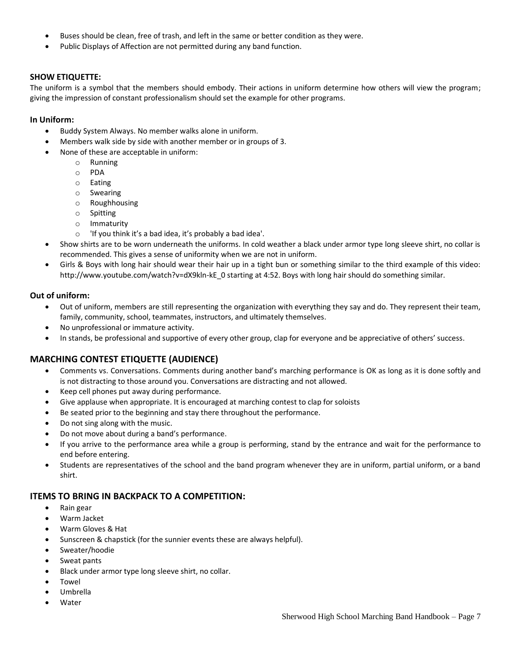- Buses should be clean, free of trash, and left in the same or better condition as they were.
- Public Displays of Affection are not permitted during any band function.

# **SHOW ETIQUETTE:**

The uniform is a symbol that the members should embody. Their actions in uniform determine how others will view the program; giving the impression of constant professionalism should set the example for other programs.

#### **In Uniform:**

- Buddy System Always. No member walks alone in uniform.
- Members walk side by side with another member or in groups of 3.
- None of these are acceptable in uniform:
	- o Running
	- o PDA
	- o Eating
	- o Swearing
	- o Roughhousing
	- o Spitting
	- o Immaturity
	- o 'If you think it's a bad idea, it's probably a bad idea'.
- Show shirts are to be worn underneath the uniforms. In cold weather a black under armor type long sleeve shirt, no collar is recommended. This gives a sense of uniformity when we are not in uniform.
- Girls & Boys with long hair should wear their hair up in a tight bun or something similar to the third example of this video: http://www.youtube.com/watch?v=dX9kln-kE\_0 starting at 4:52. Boys with long hair should do something similar.

#### **Out of uniform:**

- Out of uniform, members are still representing the organization with everything they say and do. They represent their team, family, community, school, teammates, instructors, and ultimately themselves.
- No unprofessional or immature activity.
- In stands, be professional and supportive of every other group, clap for everyone and be appreciative of others' success.

# **MARCHING CONTEST ETIQUETTE (AUDIENCE)**

- Comments vs. Conversations. Comments during another band's marching performance is OK as long as it is done softly and is not distracting to those around you. Conversations are distracting and not allowed.
- Keep cell phones put away during performance.
- Give applause when appropriate. It is encouraged at marching contest to clap for soloists
- Be seated prior to the beginning and stay there throughout the performance.
- Do not sing along with the music.
- Do not move about during a band's performance.
- If you arrive to the performance area while a group is performing, stand by the entrance and wait for the performance to end before entering.
- Students are representatives of the school and the band program whenever they are in uniform, partial uniform, or a band shirt.

#### **ITEMS TO BRING IN BACKPACK TO A COMPETITION:**

- Rain gear
- Warm Jacket
- Warm Gloves & Hat
- Sunscreen & chapstick (for the sunnier events these are always helpful).
- Sweater/hoodie
- Sweat pants
- Black under armor type long sleeve shirt, no collar.
- Towel
- Umbrella
- **Water**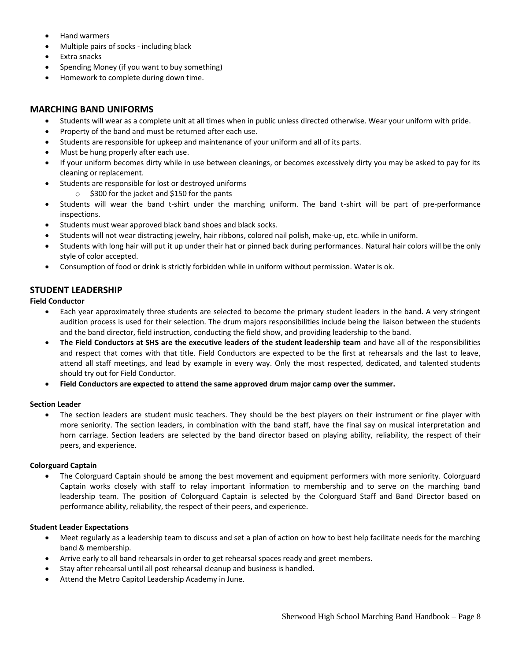- Hand warmers
- Multiple pairs of socks including black
- Extra snacks
- Spending Money (if you want to buy something)
- Homework to complete during down time.

# **MARCHING BAND UNIFORMS**

- Students will wear as a complete unit at all times when in public unless directed otherwise. Wear your uniform with pride.
- Property of the band and must be returned after each use.
- Students are responsible for upkeep and maintenance of your uniform and all of its parts.
- Must be hung properly after each use.
- If your uniform becomes dirty while in use between cleanings, or becomes excessively dirty you may be asked to pay for its cleaning or replacement.
- Students are responsible for lost or destroyed uniforms
	- o \$300 for the jacket and \$150 for the pants
- Students will wear the band t-shirt under the marching uniform. The band t-shirt will be part of pre-performance inspections.
- Students must wear approved black band shoes and black socks.
- Students will not wear distracting jewelry, hair ribbons, colored nail polish, make-up, etc. while in uniform.
- Students with long hair will put it up under their hat or pinned back during performances. Natural hair colors will be the only style of color accepted.
- Consumption of food or drink is strictly forbidden while in uniform without permission. Water is ok.

# **STUDENT LEADERSHIP**

#### **Field Conductor**

- Each year approximately three students are selected to become the primary student leaders in the band. A very stringent audition process is used for their selection. The drum majors responsibilities include being the liaison between the students and the band director, field instruction, conducting the field show, and providing leadership to the band.
- **The Field Conductors at SHS are the executive leaders of the student leadership team** and have all of the responsibilities and respect that comes with that title. Field Conductors are expected to be the first at rehearsals and the last to leave, attend all staff meetings, and lead by example in every way. Only the most respected, dedicated, and talented students should try out for Field Conductor.
- **Field Conductors are expected to attend the same approved drum major camp over the summer.**

#### **Section Leader**

 The section leaders are student music teachers. They should be the best players on their instrument or fine player with more seniority. The section leaders, in combination with the band staff, have the final say on musical interpretation and horn carriage. Section leaders are selected by the band director based on playing ability, reliability, the respect of their peers, and experience.

#### **Colorguard Captain**

 The Colorguard Captain should be among the best movement and equipment performers with more seniority. Colorguard Captain works closely with staff to relay important information to membership and to serve on the marching band leadership team. The position of Colorguard Captain is selected by the Colorguard Staff and Band Director based on performance ability, reliability, the respect of their peers, and experience.

#### **Student Leader Expectations**

- Meet regularly as a leadership team to discuss and set a plan of action on how to best help facilitate needs for the marching band & membership.
- Arrive early to all band rehearsals in order to get rehearsal spaces ready and greet members.
- Stay after rehearsal until all post rehearsal cleanup and business is handled.
- Attend the Metro Capitol Leadership Academy in June.